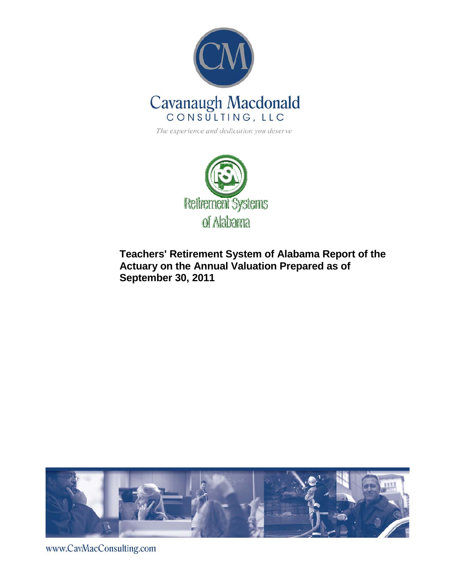

The experience and dedication you deserve



**Teachers' Retirement System of Alabama Report of the Actuary on the Annual Valuation Prepared as of September 30, 2011** 



www.CavMacConsulting.com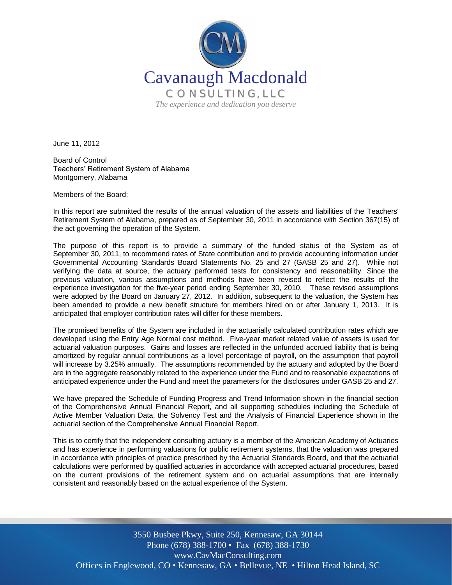

June 11, 2012

Board of Control Teachers' Retirement System of Alabama Montgomery, Alabama

Members of the Board:

In this report are submitted the results of the annual valuation of the assets and liabilities of the Teachers' Retirement System of Alabama, prepared as of September 30, 2011 in accordance with Section 367(15) of the act governing the operation of the System.

The purpose of this report is to provide a summary of the funded status of the System as of September 30, 2011, to recommend rates of State contribution and to provide accounting information under Governmental Accounting Standards Board Statements No. 25 and 27 (GASB 25 and 27). While not verifying the data at source, the actuary performed tests for consistency and reasonability. Since the previous valuation, various assumptions and methods have been revised to reflect the results of the experience investigation for the five-year period ending September 30, 2010. These revised assumptions were adopted by the Board on January 27, 2012. In addition, subsequent to the valuation, the System has been amended to provide a new benefit structure for members hired on or after January 1, 2013. It is anticipated that employer contribution rates will differ for these members.

The promised benefits of the System are included in the actuarially calculated contribution rates which are developed using the Entry Age Normal cost method. Five-year market related value of assets is used for actuarial valuation purposes. Gains and losses are reflected in the unfunded accrued liability that is being amortized by regular annual contributions as a level percentage of payroll, on the assumption that payroll will increase by 3.25% annually. The assumptions recommended by the actuary and adopted by the Board are in the aggregate reasonably related to the experience under the Fund and to reasonable expectations of anticipated experience under the Fund and meet the parameters for the disclosures under GASB 25 and 27.

We have prepared the Schedule of Funding Progress and Trend Information shown in the financial section of the Comprehensive Annual Financial Report, and all supporting schedules including the Schedule of Active Member Valuation Data, the Solvency Test and the Analysis of Financial Experience shown in the actuarial section of the Comprehensive Annual Financial Report.

This is to certify that the independent consulting actuary is a member of the American Academy of Actuaries and has experience in performing valuations for public retirement systems, that the valuation was prepared in accordance with principles of practice prescribed by the Actuarial Standards Board, and that the actuarial calculations were performed by qualified actuaries in accordance with accepted actuarial procedures, based on the current provisions of the retirement system and on actuarial assumptions that are internally consistent and reasonably based on the actual experience of the System.

Offices in Englewood, CO · Kennesaw, GA · Bellevue, NE · Hilton Head Island, SC 3550 Busbee Pkwy, Suite 250, Kennesaw, GA 30144 Phone (678) 388-1700 • Fax (678) 388-1730 www.CavMacConsulting.com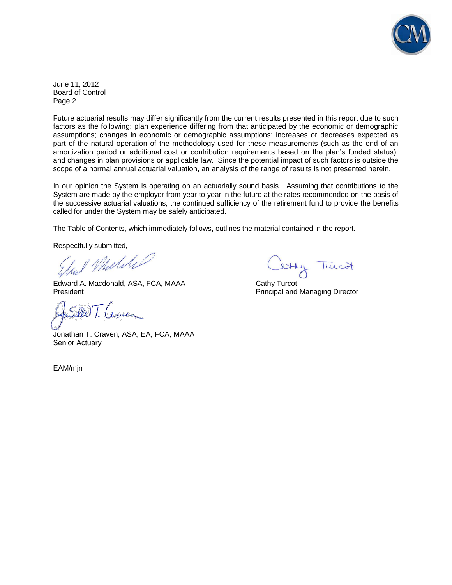

June 11, 2012 Board of Control Page 2

Future actuarial results may differ significantly from the current results presented in this report due to such factors as the following: plan experience differing from that anticipated by the economic or demographic assumptions; changes in economic or demographic assumptions; increases or decreases expected as part of the natural operation of the methodology used for these measurements (such as the end of an amortization period or additional cost or contribution requirements based on the plan's funded status); and changes in plan provisions or applicable law. Since the potential impact of such factors is outside the scope of a normal annual actuarial valuation, an analysis of the range of results is not presented herein.

In our opinion the System is operating on an actuarially sound basis. Assuming that contributions to the System are made by the employer from year to year in the future at the rates recommended on the basis of the successive actuarial valuations, the continued sufficiency of the retirement fund to provide the benefits called for under the System may be safely anticipated.

The Table of Contents, which immediately follows, outlines the material contained in the report.

Respectfully submitted,

Mulike

Edward A. Macdonald, ASA, FCA, MAAA Cathy Turcot **President President Access Principal and Managing Director** Principal and Managing Director

Jonathan T. Craven, ASA, EA, FCA, MAAA Senior Actuary

EAM/mjn

atty Turcot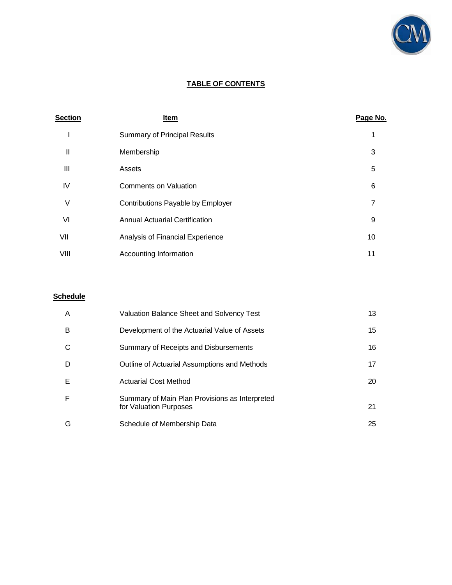

## **TABLE OF CONTENTS**

| <b>Section</b> | Item                                  | Page No.       |
|----------------|---------------------------------------|----------------|
|                | <b>Summary of Principal Results</b>   | 1              |
| Ш              | Membership                            | 3              |
| Ш              | Assets                                | 5              |
| IV             | <b>Comments on Valuation</b>          | 6              |
| V              | Contributions Payable by Employer     | $\overline{7}$ |
| VI             | <b>Annual Actuarial Certification</b> | 9              |
| VII            | Analysis of Financial Experience      | 10             |
| VIII           | Accounting Information                | 11             |

## **Schedule**

| A | <b>Valuation Balance Sheet and Solvency Test</b>                         | 13 |
|---|--------------------------------------------------------------------------|----|
| B | Development of the Actuarial Value of Assets                             | 15 |
| C | Summary of Receipts and Disbursements                                    | 16 |
| D | Outline of Actuarial Assumptions and Methods                             | 17 |
| Е | <b>Actuarial Cost Method</b>                                             | 20 |
| F | Summary of Main Plan Provisions as Interpreted<br>for Valuation Purposes | 21 |
| G | Schedule of Membership Data                                              | 25 |
|   |                                                                          |    |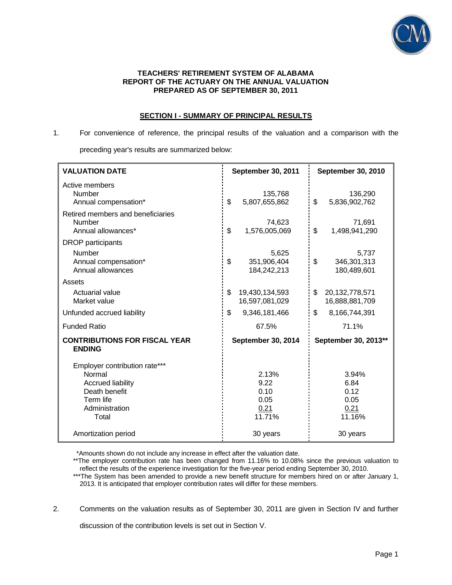

### **TEACHERS' RETIREMENT SYSTEM OF ALABAMA REPORT OF THE ACTUARY ON THE ANNUAL VALUATION PREPARED AS OF SEPTEMBER 30, 2011**

### **SECTION I - SUMMARY OF PRINCIPAL RESULTS**

# 1. For convenience of reference, the principal results of the valuation and a comparison with the preceding year's results are summarized below:

| <b>VALUATION DATE</b>                                                                                                        | <b>September 30, 2011</b>                       | September 30, 2010                              |  |
|------------------------------------------------------------------------------------------------------------------------------|-------------------------------------------------|-------------------------------------------------|--|
| Active members<br>Number<br>Annual compensation*                                                                             | 135,768<br>\$<br>5,807,655,862                  | 136,290<br>\$<br>5,836,902,762                  |  |
| Retired members and beneficiaries<br>Number<br>Annual allowances*                                                            | 74,623<br>\$<br>1,576,005,069                   | 71,691<br>\$<br>1,498,941,290                   |  |
| <b>DROP</b> participants<br>Number<br>Annual compensation*<br>Annual allowances                                              | 5,625<br>\$<br>351,906,404<br>184,242,213       | 5,737<br>\$<br>346,301,313<br>180,489,601       |  |
| Assets<br>Actuarial value<br>Market value                                                                                    | \$<br>19,430,134,593<br>16,597,081,029          | \$<br>20, 132, 778, 571<br>16,888,881,709       |  |
| Unfunded accrued liability<br><b>Funded Ratio</b>                                                                            | \$<br>9,346,181,466<br>67.5%                    | \$<br>8,166,744,391<br>71.1%                    |  |
| <b>CONTRIBUTIONS FOR FISCAL YEAR</b><br><b>ENDING</b>                                                                        | September 30, 2014                              | September 30, 2013**                            |  |
| Employer contribution rate***<br>Normal<br><b>Accrued liability</b><br>Death benefit<br>Term life<br>Administration<br>Total | 2.13%<br>9.22<br>0.10<br>0.05<br>0.21<br>11.71% | 3.94%<br>6.84<br>0.12<br>0.05<br>0.21<br>11.16% |  |
| Amortization period                                                                                                          | 30 years                                        | 30 years                                        |  |

\*Amounts shown do not include any increase in effect after the valuation date.

2. Comments on the valuation results as of September 30, 2011 are given in Section IV and further

discussion of the contribution levels is set out in Section V.

<sup>\*\*</sup>The employer contribution rate has been changed from 11.16% to 10.08% since the previous valuation to reflect the results of the experience investigation for the five-year period ending September 30, 2010.

<sup>\*\*\*</sup>The System has been amended to provide a new benefit structure for members hired on or after January 1, 2013. It is anticipated that employer contribution rates will differ for these members.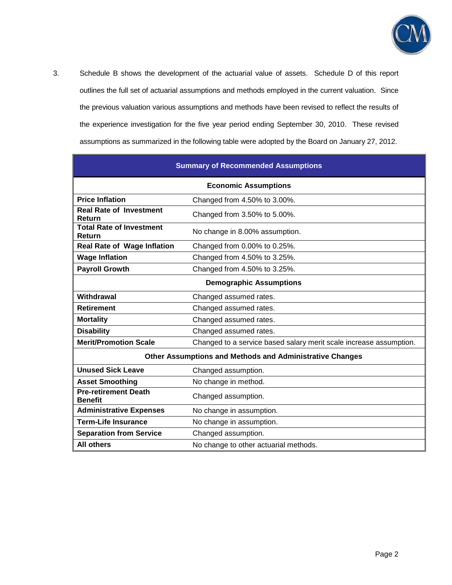

3. Schedule B shows the development of the actuarial value of assets. Schedule D of this report outlines the full set of actuarial assumptions and methods employed in the current valuation. Since the previous valuation various assumptions and methods have been revised to reflect the results of the experience investigation for the five year period ending September 30, 2010. These revised assumptions as summarized in the following table were adopted by the Board on January 27, 2012.

| <b>Summary of Recommended Assumptions</b>                            |                                                                    |  |  |  |  |
|----------------------------------------------------------------------|--------------------------------------------------------------------|--|--|--|--|
| <b>Economic Assumptions</b>                                          |                                                                    |  |  |  |  |
| <b>Price Inflation</b>                                               | Changed from 4.50% to 3.00%.                                       |  |  |  |  |
| <b>Real Rate of Investment</b><br>Return                             | Changed from 3.50% to 5.00%.                                       |  |  |  |  |
| <b>Total Rate of Investment</b><br>Return                            | No change in 8.00% assumption.                                     |  |  |  |  |
| <b>Real Rate of Wage Inflation</b>                                   | Changed from 0.00% to 0.25%.                                       |  |  |  |  |
| <b>Wage Inflation</b><br>Changed from 4.50% to 3.25%.                |                                                                    |  |  |  |  |
| <b>Payroll Growth</b>                                                | Changed from 4.50% to 3.25%.                                       |  |  |  |  |
|                                                                      | <b>Demographic Assumptions</b>                                     |  |  |  |  |
| Withdrawal                                                           | Changed assumed rates.                                             |  |  |  |  |
| <b>Retirement</b>                                                    | Changed assumed rates.                                             |  |  |  |  |
| <b>Mortality</b>                                                     | Changed assumed rates.                                             |  |  |  |  |
| <b>Disability</b>                                                    | Changed assumed rates.                                             |  |  |  |  |
| <b>Merit/Promotion Scale</b>                                         | Changed to a service based salary merit scale increase assumption. |  |  |  |  |
|                                                                      | <b>Other Assumptions and Methods and Administrative Changes</b>    |  |  |  |  |
| <b>Unused Sick Leave</b>                                             | Changed assumption.                                                |  |  |  |  |
| <b>Asset Smoothing</b>                                               | No change in method.                                               |  |  |  |  |
| <b>Pre-retirement Death</b><br>Changed assumption.<br><b>Benefit</b> |                                                                    |  |  |  |  |
| <b>Administrative Expenses</b><br>No change in assumption.           |                                                                    |  |  |  |  |
| <b>Term-Life Insurance</b><br>No change in assumption.               |                                                                    |  |  |  |  |
| Changed assumption.<br><b>Separation from Service</b>                |                                                                    |  |  |  |  |
| <b>All others</b><br>No change to other actuarial methods.           |                                                                    |  |  |  |  |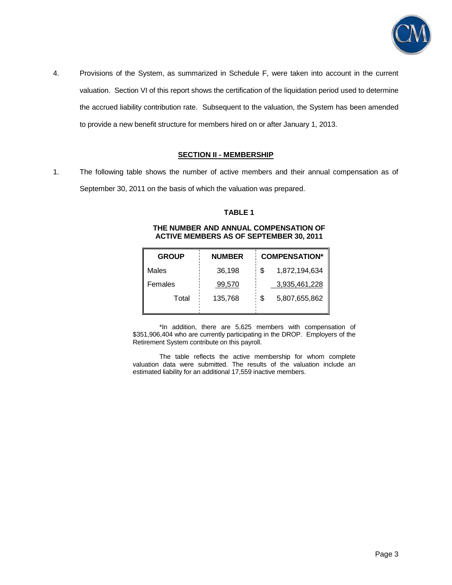

4. Provisions of the System, as summarized in Schedule F, were taken into account in the current valuation. Section VI of this report shows the certification of the liquidation period used to determine the accrued liability contribution rate. Subsequent to the valuation, the System has been amended to provide a new benefit structure for members hired on or after January 1, 2013.

### **SECTION II - MEMBERSHIP**

1. The following table shows the number of active members and their annual compensation as of September 30, 2011 on the basis of which the valuation was prepared.

### **TABLE 1**

#### **THE NUMBER AND ANNUAL COMPENSATION OF ACTIVE MEMBERS AS OF SEPTEMBER 30, 2011**

| <b>GROUP</b> | <b>NUMBER</b> | <b>COMPENSATION*</b> |
|--------------|---------------|----------------------|
| Males        | 36,198        | 1,872,194,634<br>S   |
| Females      | 99,570        | 3,935,461,228        |
| Total        | 135,768       | \$<br>5,807,655,862  |

\*In addition, there are 5,625 members with compensation of \$351,906,404 who are currently participating in the DROP. Employers of the Retirement System contribute on this payroll.

 The table reflects the active membership for whom complete valuation data were submitted. The results of the valuation include an estimated liability for an additional 17,559 inactive members.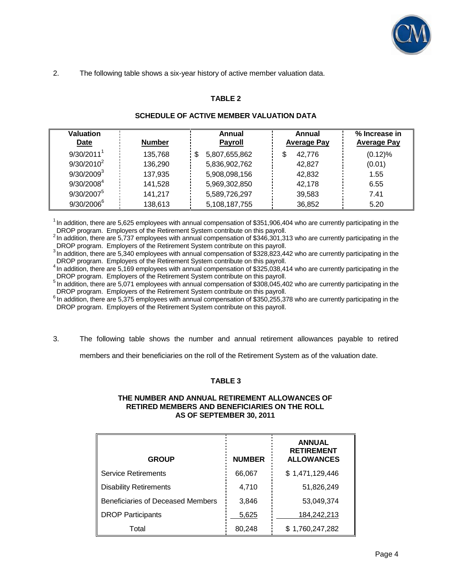

2. The following table shows a six-year history of active member valuation data.

## **TABLE 2**

| Valuation<br>Date      | <b>Number</b> | Annual<br><b>Payroll</b> | Annual<br><b>Average Pay</b> | % Increase in<br><b>Average Pay</b> |
|------------------------|---------------|--------------------------|------------------------------|-------------------------------------|
| 9/30/2011 <sup>1</sup> | 135,768       | 5,807,655,862            | \$<br>42.776                 | (0.12)%                             |
| $9/30/2010^2$          | 136,290       | 5,836,902,762            | 42.827                       | (0.01)                              |
| $9/30/2009^3$          | 137,935       | 5,908,098,156            | 42,832                       | 1.55                                |
| 9/30/2008 <sup>4</sup> | 141,528       | 5,969,302,850            | 42.178                       | 6.55                                |
| $9/30/2007^5$          | 141,217       | 5,589,726,297            | 39,583                       | 7.41                                |
| 9/30/2006              | 138,613       | 5,108,187,755            | 36,852                       | 5.20                                |

### **SCHEDULE OF ACTIVE MEMBER VALUATION DATA**

 $1$ In addition, there are 5,625 employees with annual compensation of \$351,906,404 who are currently participating in the DROP program. Employers of the Retirement System contribute on this payroll.

2IN addition, there are 5,737 employees with annual compensation of \$346,301,313 who are currently participating in the DROP program. Employers of the Retirement System contribute on this payroll.

<sup>3</sup>In addition, there are 5,340 employees with annual compensation of \$328,823,442 who are currently participating in the DROP program. Employers of the Retirement System contribute on this payroll.

<sup>4</sup>In addition, there are 5,169 employees with annual compensation of \$325,038,414 who are currently participating in the DROP program. Employers of the Retirement System contribute on this payroll.

<sup>5</sup> In addition, there are 5,071 employees with annual compensation of \$308,045,402 who are currently participating in the DROP program. Employers of the Retirement System contribute on this payroll.

 $6$  In addition, there are 5,375 employees with annual compensation of \$350,255,378 who are currently participating in the DROP program. Employers of the Retirement System contribute on this payroll.

3. The following table shows the number and annual retirement allowances payable to retired

members and their beneficiaries on the roll of the Retirement System as of the valuation date.

### **TABLE 3**

### **THE NUMBER AND ANNUAL RETIREMENT ALLOWANCES OF RETIRED MEMBERS AND BENEFICIARIES ON THE ROLL AS OF SEPTEMBER 30, 2011**

| <b>GROUP</b>                      | <b>NUMBER</b> | <b>ANNUAL</b><br><b>RETIREMENT</b><br><b>ALLOWANCES</b> |
|-----------------------------------|---------------|---------------------------------------------------------|
| <b>Service Retirements</b>        | 66,067        | \$1,471,129,446                                         |
| <b>Disability Retirements</b>     | 4,710         | 51,826,249                                              |
| Beneficiaries of Deceased Members | 3,846         | 53,049,374                                              |
| <b>DROP Participants</b>          | 5,625         | 184,242,213                                             |
| Total                             | 80,248        | \$1,760,247,282                                         |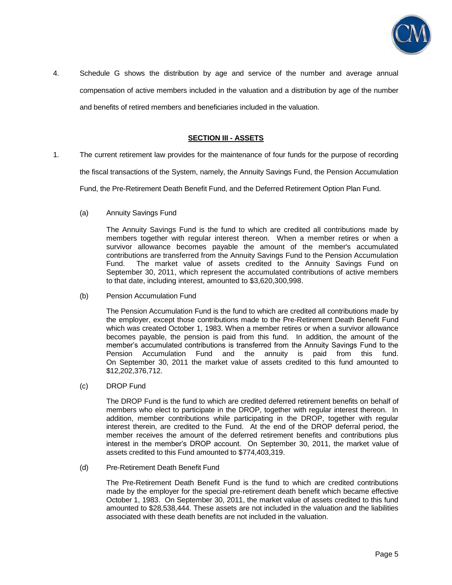

4. Schedule G shows the distribution by age and service of the number and average annual compensation of active members included in the valuation and a distribution by age of the number and benefits of retired members and beneficiaries included in the valuation.

### **SECTION III - ASSETS**

1. The current retirement law provides for the maintenance of four funds for the purpose of recording

the fiscal transactions of the System, namely, the Annuity Savings Fund, the Pension Accumulation

Fund, the Pre-Retirement Death Benefit Fund, and the Deferred Retirement Option Plan Fund.

(a) Annuity Savings Fund

 The Annuity Savings Fund is the fund to which are credited all contributions made by members together with regular interest thereon. When a member retires or when a survivor allowance becomes payable the amount of the member's accumulated contributions are transferred from the Annuity Savings Fund to the Pension Accumulation Fund. The market value of assets credited to the Annuity Savings Fund on September 30, 2011, which represent the accumulated contributions of active members to that date, including interest, amounted to \$3,620,300,998.

(b) Pension Accumulation Fund

 The Pension Accumulation Fund is the fund to which are credited all contributions made by the employer, except those contributions made to the Pre-Retirement Death Benefit Fund which was created October 1, 1983. When a member retires or when a survivor allowance becomes payable, the pension is paid from this fund. In addition, the amount of the member's accumulated contributions is transferred from the Annuity Savings Fund to the Pension Accumulation Fund and the annuity is paid from this fund. On September 30, 2011 the market value of assets credited to this fund amounted to \$12,202,376,712.

(c) DROP Fund

 The DROP Fund is the fund to which are credited deferred retirement benefits on behalf of members who elect to participate in the DROP, together with regular interest thereon. In addition, member contributions while participating in the DROP, together with regular interest therein, are credited to the Fund. At the end of the DROP deferral period, the member receives the amount of the deferred retirement benefits and contributions plus interest in the member's DROP account. On September 30, 2011, the market value of assets credited to this Fund amounted to \$774,403,319.

(d) Pre-Retirement Death Benefit Fund

 The Pre-Retirement Death Benefit Fund is the fund to which are credited contributions made by the employer for the special pre-retirement death benefit which became effective October 1, 1983. On September 30, 2011, the market value of assets credited to this fund amounted to \$28,538,444. These assets are not included in the valuation and the liabilities associated with these death benefits are not included in the valuation.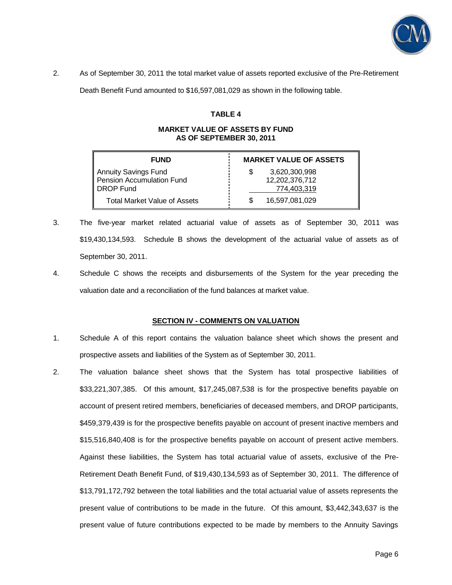

2. As of September 30, 2011 the total market value of assets reported exclusive of the Pre-Retirement

Death Benefit Fund amounted to \$16,597,081,029 as shown in the following table.

### **TABLE 4**

### **MARKET VALUE OF ASSETS BY FUND AS OF SEPTEMBER 30, 2011**

| <b>FUND</b>                                                           | <b>MARKET VALUE OF ASSETS</b>                  |
|-----------------------------------------------------------------------|------------------------------------------------|
| <b>Annuity Savings Fund</b><br>Pension Accumulation Fund<br>DROP Fund | 3,620,300,998<br>12,202,376,712<br>774,403,319 |
| Total Market Value of Assets                                          | 16,597,081,029                                 |

- 3. The five-year market related actuarial value of assets as of September 30, 2011 was \$19,430,134,593. Schedule B shows the development of the actuarial value of assets as of September 30, 2011.
- 4. Schedule C shows the receipts and disbursements of the System for the year preceding the valuation date and a reconciliation of the fund balances at market value.

### **SECTION IV - COMMENTS ON VALUATION**

- 1. Schedule A of this report contains the valuation balance sheet which shows the present and prospective assets and liabilities of the System as of September 30, 2011.
- 2. The valuation balance sheet shows that the System has total prospective liabilities of \$33,221,307,385. Of this amount, \$17,245,087,538 is for the prospective benefits payable on account of present retired members, beneficiaries of deceased members, and DROP participants, \$459,379,439 is for the prospective benefits payable on account of present inactive members and \$15,516,840,408 is for the prospective benefits payable on account of present active members. Against these liabilities, the System has total actuarial value of assets, exclusive of the Pre-Retirement Death Benefit Fund, of \$19,430,134,593 as of September 30, 2011. The difference of \$13,791,172,792 between the total liabilities and the total actuarial value of assets represents the present value of contributions to be made in the future. Of this amount, \$3,442,343,637 is the present value of future contributions expected to be made by members to the Annuity Savings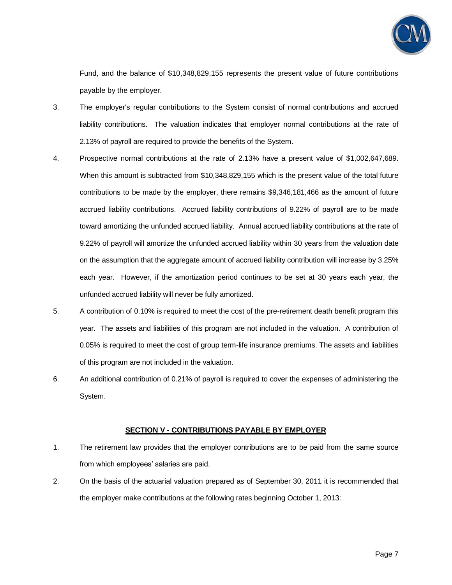

Fund, and the balance of \$10,348,829,155 represents the present value of future contributions payable by the employer.

- 3. The employer's regular contributions to the System consist of normal contributions and accrued liability contributions. The valuation indicates that employer normal contributions at the rate of 2.13% of payroll are required to provide the benefits of the System.
- 4. Prospective normal contributions at the rate of 2.13% have a present value of \$1,002,647,689. When this amount is subtracted from \$10,348,829,155 which is the present value of the total future contributions to be made by the employer, there remains \$9,346,181,466 as the amount of future accrued liability contributions. Accrued liability contributions of 9.22% of payroll are to be made toward amortizing the unfunded accrued liability. Annual accrued liability contributions at the rate of 9.22% of payroll will amortize the unfunded accrued liability within 30 years from the valuation date on the assumption that the aggregate amount of accrued liability contribution will increase by 3.25% each year. However, if the amortization period continues to be set at 30 years each year, the unfunded accrued liability will never be fully amortized.
- 5. A contribution of 0.10% is required to meet the cost of the pre-retirement death benefit program this year. The assets and liabilities of this program are not included in the valuation. A contribution of 0.05% is required to meet the cost of group term-life insurance premiums. The assets and liabilities of this program are not included in the valuation.
- 6. An additional contribution of 0.21% of payroll is required to cover the expenses of administering the System.

### **SECTION V - CONTRIBUTIONS PAYABLE BY EMPLOYER**

- 1. The retirement law provides that the employer contributions are to be paid from the same source from which employees' salaries are paid.
- 2. On the basis of the actuarial valuation prepared as of September 30, 2011 it is recommended that the employer make contributions at the following rates beginning October 1, 2013: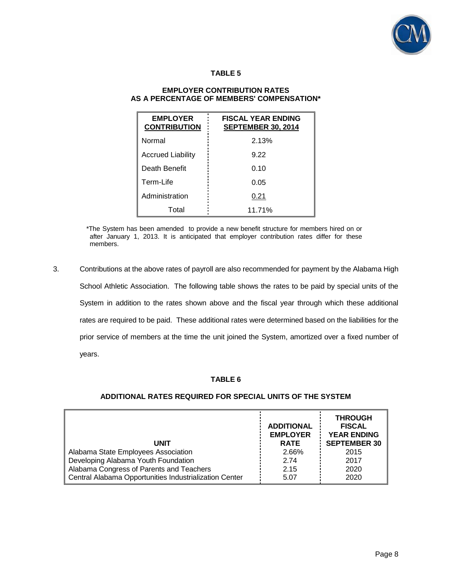

### **TABLE 5**

### **EMPLOYER CONTRIBUTION RATES AS A PERCENTAGE OF MEMBERS' COMPENSATION\***

| <b>EMPLOYER</b><br><b>CONTRIBUTION</b> | <b>FISCAL YEAR ENDING</b><br><b>SEPTEMBER 30, 2014</b> |
|----------------------------------------|--------------------------------------------------------|
| Normal                                 | 2.13%                                                  |
| <b>Accrued Liability</b>               | 9.22                                                   |
| Death Benefit                          | 0.10                                                   |
| Term-Life                              | 0.05                                                   |
| Administration                         | 0.21                                                   |
| Total                                  | 11.71%                                                 |

\*The System has been amended to provide a new benefit structure for members hired on or after January 1, 2013. It is anticipated that employer contribution rates differ for these members.

3. Contributions at the above rates of payroll are also recommended for payment by the Alabama High School Athletic Association. The following table shows the rates to be paid by special units of the System in addition to the rates shown above and the fiscal year through which these additional rates are required to be paid. These additional rates were determined based on the liabilities for the prior service of members at the time the unit joined the System, amortized over a fixed number of years.

### **TABLE 6**

#### **UNIT ADDITIONAL EMPLOYER RATE THROUGH FISCAL YEAR ENDING SEPTEMBER 30** Alabama State Employees Association 2.66% 2015 Developing Alabama Youth Foundation 2.74 2.74 2017 Alabama Congress of Parents and Teachers 2.15 2020 Central Alabama Opportunities Industrialization Center  $\frac{1}{1}$  5.07  $\frac{1}{2}$  2020

### **ADDITIONAL RATES REQUIRED FOR SPECIAL UNITS OF THE SYSTEM**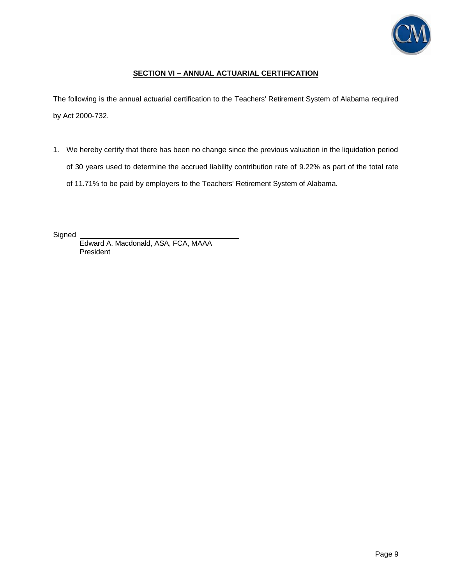

## **SECTION VI – ANNUAL ACTUARIAL CERTIFICATION**

The following is the annual actuarial certification to the Teachers' Retirement System of Alabama required by Act 2000-732.

1. We hereby certify that there has been no change since the previous valuation in the liquidation period of 30 years used to determine the accrued liability contribution rate of 9.22% as part of the total rate of 11.71% to be paid by employers to the Teachers' Retirement System of Alabama.

**Signed** 

Edward A. Macdonald, ASA, FCA, MAAA President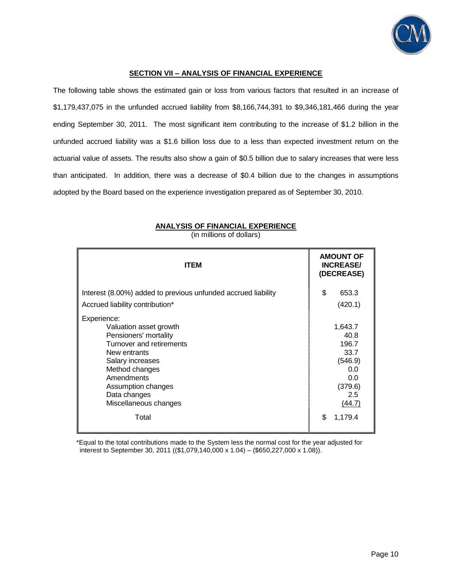

### **SECTION VII – ANALYSIS OF FINANCIAL EXPERIENCE**

The following table shows the estimated gain or loss from various factors that resulted in an increase of \$1,179,437,075 in the unfunded accrued liability from \$8,166,744,391 to \$9,346,181,466 during the year ending September 30, 2011. The most significant item contributing to the increase of \$1.2 billion in the unfunded accrued liability was a \$1.6 billion loss due to a less than expected investment return on the actuarial value of assets. The results also show a gain of \$0.5 billion due to salary increases that were less than anticipated. In addition, there was a decrease of \$0.4 billion due to the changes in assumptions adopted by the Board based on the experience investigation prepared as of September 30, 2010.

| <b>ITEM</b>                                                                                                                                                                                                                   | <b>AMOUNT OF</b><br><b>INCREASE/</b><br>(DECREASE)                                    |
|-------------------------------------------------------------------------------------------------------------------------------------------------------------------------------------------------------------------------------|---------------------------------------------------------------------------------------|
| Interest (8.00%) added to previous unfunded accrued liability<br>Accrued liability contribution*                                                                                                                              | \$<br>653.3<br>(420.1)                                                                |
| Experience:<br>Valuation asset growth<br>Pensioners' mortality<br>Turnover and retirements<br>New entrants<br>Salary increases<br>Method changes<br>Amendments<br>Assumption changes<br>Data changes<br>Miscellaneous changes | 1,643.7<br>40.8<br>196.7<br>33.7<br>(546.9)<br>0.0<br>0.0<br>(379.6)<br>2.5<br>(44.7) |
| Total                                                                                                                                                                                                                         | \$<br>1,179.4                                                                         |

**ANALYSIS OF FINANCIAL EXPERIENCE**

(in millions of dollars)

\*Equal to the total contributions made to the System less the normal cost for the year adjusted for interest to September 30, 2011 ((\$1,079,140,000 x 1.04) – (\$650,227,000 x 1.08)).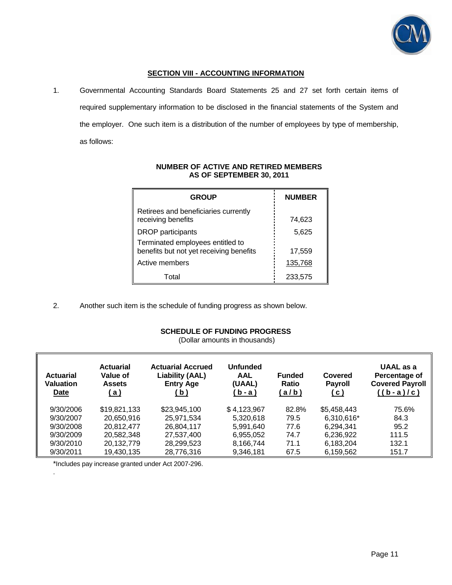

## **SECTION VIII - ACCOUNTING INFORMATION**

1. Governmental Accounting Standards Board Statements 25 and 27 set forth certain items of required supplementary information to be disclosed in the financial statements of the System and the employer. One such item is a distribution of the number of employees by type of membership, as follows:

| <b>GROUP</b>                                                                | <b>NUMBER</b> |
|-----------------------------------------------------------------------------|---------------|
| Retirees and beneficiaries currently<br>receiving benefits                  | 74,623        |
| <b>DROP</b> participants                                                    | 5,625         |
| Terminated employees entitled to<br>benefits but not yet receiving benefits | 17,559        |
| Active members                                                              | 135,768       |
| Total                                                                       | 233,575       |

### **NUMBER OF ACTIVE AND RETIRED MEMBERS AS OF SEPTEMBER 30, 2011**

2. Another such item is the schedule of funding progress as shown below.

## **SCHEDULE OF FUNDING PROGRESS**

(Dollar amounts in thousands)

| <b>Actuarial</b><br><b>Valuation</b><br>Date | <b>Actuarial</b><br>Value of<br><b>Assets</b><br>(a) | <b>Actuarial Accrued</b><br><b>Liability (AAL)</b><br><b>Entry Age</b><br>(b) | Unfunded<br><b>AAL</b><br>(UAAL)<br>(b-a) | <b>Funded</b><br><b>Ratio</b><br>(a/b) | Covered<br><b>Payroll</b><br><u>( c )</u> | UAAL as a<br>Percentage of<br><b>Covered Payroll</b><br>$((b-a)/c)$ |
|----------------------------------------------|------------------------------------------------------|-------------------------------------------------------------------------------|-------------------------------------------|----------------------------------------|-------------------------------------------|---------------------------------------------------------------------|
| 9/30/2006                                    | \$19,821,133                                         | \$23,945,100                                                                  | \$4,123,967                               | 82.8%                                  | \$5,458,443                               | 75.6%                                                               |
| 9/30/2007                                    | 20,650,916                                           | 25,971,534                                                                    | 5.320.618                                 | 79.5                                   | 6,310,616*                                | 84.3                                                                |
| 9/30/2008                                    | 20.812.477                                           | 26,804,117                                                                    | 5.991.640                                 | 77.6                                   | 6.294.341                                 | 95.2                                                                |
| 9/30/2009                                    | 20,582,348                                           | 27,537,400                                                                    | 6,955,052                                 | 74.7                                   | 6,236,922                                 | 111.5                                                               |
| 9/30/2010                                    | 20,132,779                                           | 28,299,523                                                                    | 8,166,744                                 | 71.1                                   | 6,183,204                                 | 132.1                                                               |
| 9/30/2011                                    | 19,430,135                                           | 28,776,316                                                                    | 9,346,181                                 | 67.5                                   | 6,159,562                                 | 151.7                                                               |

\*Includes pay increase granted under Act 2007-296.

.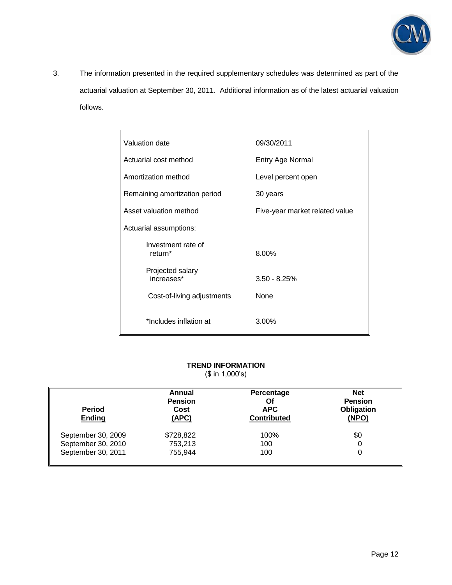

3. The information presented in the required supplementary schedules was determined as part of the actuarial valuation at September 30, 2011. Additional information as of the latest actuarial valuation follows.

| Valuation date                 | 09/30/2011                     |
|--------------------------------|--------------------------------|
| Actuarial cost method          | Entry Age Normal               |
| Amortization method            | Level percent open             |
| Remaining amortization period  | 30 years                       |
| Asset valuation method         | Five-year market related value |
| Actuarial assumptions:         |                                |
| Investment rate of<br>return*  | 8.00%                          |
| Projected salary<br>increases* | $3.50 - 8.25%$                 |
| Cost-of-living adjustments     | None                           |
| *Includes inflation at         | 3.00%                          |

## **TREND INFORMATION**

(\$ in 1,000's)

| <b>Period</b><br><b>Ending</b> | Annual<br><b>Pension</b><br>Cost<br>(APC) | Percentage<br>Οf<br><b>APC</b><br><b>Contributed</b> | <b>Net</b><br><b>Pension</b><br>Obligation<br>(NPO) |
|--------------------------------|-------------------------------------------|------------------------------------------------------|-----------------------------------------------------|
| September 30, 2009             | \$728,822                                 | 100%                                                 | \$0                                                 |
| September 30, 2010             | 753,213                                   | 100                                                  | 0                                                   |
| September 30, 2011             | 755,944                                   | 100                                                  | 0                                                   |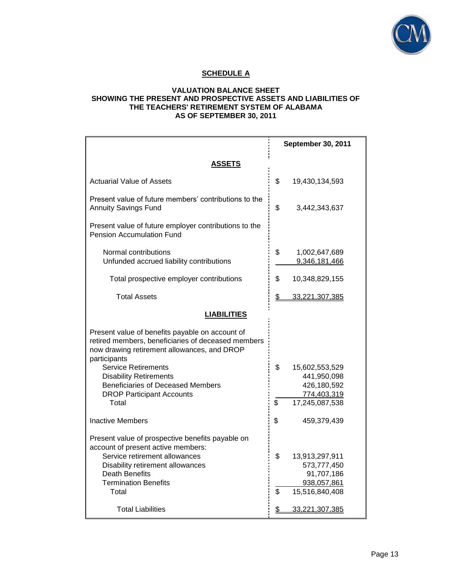

## **SCHEDULE A**

### **VALUATION BALANCE SHEET SHOWING THE PRESENT AND PROSPECTIVE ASSETS AND LIABILITIES OF THE TEACHERS' RETIREMENT SYSTEM OF ALABAMA AS OF SEPTEMBER 30, 2011**

|                                                                                                                                                                      | September 30, 2011                   |
|----------------------------------------------------------------------------------------------------------------------------------------------------------------------|--------------------------------------|
| ASSETS                                                                                                                                                               |                                      |
| <b>Actuarial Value of Assets</b>                                                                                                                                     | \$<br>19,430,134,593                 |
| Present value of future members' contributions to the<br><b>Annuity Savings Fund</b>                                                                                 | \$<br>3,442,343,637                  |
| Present value of future employer contributions to the<br><b>Pension Accumulation Fund</b>                                                                            |                                      |
| Normal contributions<br>Unfunded accrued liability contributions                                                                                                     | \$<br>1,002,647,689<br>9,346,181,466 |
| Total prospective employer contributions                                                                                                                             | \$<br>10,348,829,155                 |
| <b>Total Assets</b>                                                                                                                                                  | \$<br>33,221,307,385                 |
| <b>LIABILITIES</b>                                                                                                                                                   |                                      |
| Present value of benefits payable on account of<br>retired members, beneficiaries of deceased members<br>now drawing retirement allowances, and DROP<br>participants |                                      |
| <b>Service Retirements</b><br><b>Disability Retirements</b>                                                                                                          | \$<br>15,602,553,529<br>441,950,098  |
| <b>Beneficiaries of Deceased Members</b>                                                                                                                             | 426,180,592                          |
| <b>DROP Participant Accounts</b><br>Total                                                                                                                            | \$<br>774,403,319<br>17,245,087,538  |
| <b>Inactive Members</b>                                                                                                                                              | \$<br>459,379,439                    |
| Present value of prospective benefits payable on<br>account of present active members:                                                                               |                                      |
| Service retirement allowances                                                                                                                                        | \$<br>13,913,297,911                 |
| Disability retirement allowances                                                                                                                                     | 573,777,450                          |
| <b>Death Benefits</b><br><b>Termination Benefits</b>                                                                                                                 | 91,707,186<br>938,057,861            |
| Total                                                                                                                                                                | \$<br>15,516,840,408                 |
| <b>Total Liabilities</b>                                                                                                                                             | \$<br>33,221,307,385                 |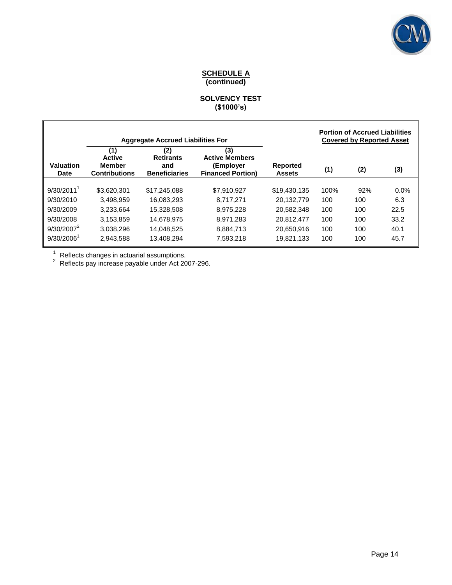

### **SCHEDULE A (continued)**

### **SOLVENCY TEST (\$1000's)**

|                          | <b>Aggregate Accrued Liabilities For</b>                      |                                                        |                                                                       | <b>Portion of Accrued Liabilities</b><br><b>Covered by Reported Asset</b> |      |     |         |
|--------------------------|---------------------------------------------------------------|--------------------------------------------------------|-----------------------------------------------------------------------|---------------------------------------------------------------------------|------|-----|---------|
| <b>Valuation</b><br>Date | (1)<br><b>Active</b><br><b>Member</b><br><b>Contributions</b> | (2)<br><b>Retirants</b><br>and<br><b>Beneficiaries</b> | (3)<br><b>Active Members</b><br>(Employer<br><b>Financed Portion)</b> | <b>Reported</b><br><b>Assets</b>                                          | (1)  | (2) | (3)     |
| $9/30/2011$ <sup>1</sup> | \$3.620.301                                                   | \$17,245,088                                           | \$7,910,927                                                           | \$19,430,135                                                              | 100% | 92% | $0.0\%$ |
| 9/30/2010                | 3.498.959                                                     | 16.083.293                                             | 8.717.271                                                             | 20.132.779                                                                | 100  | 100 | 6.3     |
| 9/30/2009                | 3.233.664                                                     | 15.328.508                                             | 8.975.228                                                             | 20.582.348                                                                | 100  | 100 | 22.5    |
| 9/30/2008                | 3,153,859                                                     | 14,678,975                                             | 8.971.283                                                             | 20.812.477                                                                | 100  | 100 | 33.2    |
| $9/30/2007^2$            | 3.038.296                                                     | 14.048.525                                             | 8.884.713                                                             | 20.650.916                                                                | 100  | 100 | 40.1    |
| $9/30/2006^1$            | 2.943.588                                                     | 13,408,294                                             | 7,593,218                                                             | 19.821.133                                                                | 100  | 100 | 45.7    |

<sup>1</sup> Reflects changes in actuarial assumptions.<br><sup>2</sup> Reflects pay increase payable under Act 2007-296.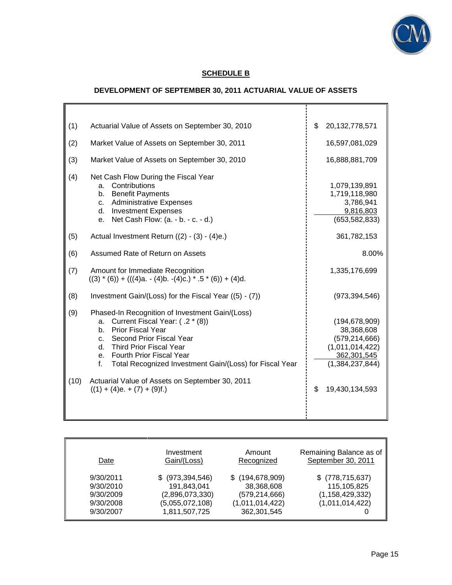

## **SCHEDULE B**

## **DEVELOPMENT OF SEPTEMBER 30, 2011 ACTUARIAL VALUE OF ASSETS**

| (1)  | Actuarial Value of Assets on September 30, 2010                                                                                                                                                                                                                                       | 20, 132, 778, 571<br>\$                                                                                  |
|------|---------------------------------------------------------------------------------------------------------------------------------------------------------------------------------------------------------------------------------------------------------------------------------------|----------------------------------------------------------------------------------------------------------|
| (2)  | Market Value of Assets on September 30, 2011                                                                                                                                                                                                                                          | 16,597,081,029                                                                                           |
| (3)  | Market Value of Assets on September 30, 2010                                                                                                                                                                                                                                          | 16,888,881,709                                                                                           |
| (4)  | Net Cash Flow During the Fiscal Year<br>Contributions<br>a.<br>b. Benefit Payments<br><b>Administrative Expenses</b><br>C.<br>d. Investment Expenses<br>Net Cash Flow: (a. - b. - c. - d.)<br>е.                                                                                      | 1,079,139,891<br>1,719,118,980<br>3,786,941<br>9,816,803<br>(653, 582, 833)                              |
| (5)  | Actual Investment Return ((2) - (3) - (4)e.)                                                                                                                                                                                                                                          | 361,782,153                                                                                              |
| (6)  | Assumed Rate of Return on Assets                                                                                                                                                                                                                                                      | 8.00%                                                                                                    |
| (7)  | Amount for Immediate Recognition<br>$((3) * (6)) + (((4)a. - (4)b. -(4)c.) * .5 * (6)) + (4)d.$                                                                                                                                                                                       | 1,335,176,699                                                                                            |
| (8)  | Investment Gain/(Loss) for the Fiscal Year ((5) - (7))                                                                                                                                                                                                                                | (973, 394, 546)                                                                                          |
| (9)  | Phased-In Recognition of Investment Gain/(Loss)<br>Current Fiscal Year: (.2 * (8))<br>a.<br>Prior Fiscal Year<br>$h_{-}$<br>c. Second Prior Fiscal Year<br>d. Third Prior Fiscal Year<br>e. Fourth Prior Fiscal Year<br>f.<br>Total Recognized Investment Gain/(Loss) for Fiscal Year | (194, 678, 909)<br>38,368,608<br>(579, 214, 666)<br>(1,011,014,422)<br>362,301,545<br>(1, 384, 237, 844) |
| (10) | Actuarial Value of Assets on September 30, 2011<br>$((1) + (4)e. + (7) + (9)f.)$                                                                                                                                                                                                      | \$<br>19,430,134,593                                                                                     |

| Date      | Investment      | Amount          | Remaining Balance as of |
|-----------|-----------------|-----------------|-------------------------|
|           | Gain/(Loss)     | Recognized      | September 30, 2011      |
| 9/30/2011 | (973, 394, 546) | (194, 678, 909) | $$$ (778,715,637)       |
| 9/30/2010 | 191,843,041     | 38,368,608      | 115,105,825             |
| 9/30/2009 | (2,896,073,330) | (579, 214, 666) | (1, 158, 429, 332)      |
| 9/30/2008 | (5,055,072,108) | (1,011,014,422) | (1,011,014,422)         |
| 9/30/2007 | 1,811,507,725   | 362,301,545     |                         |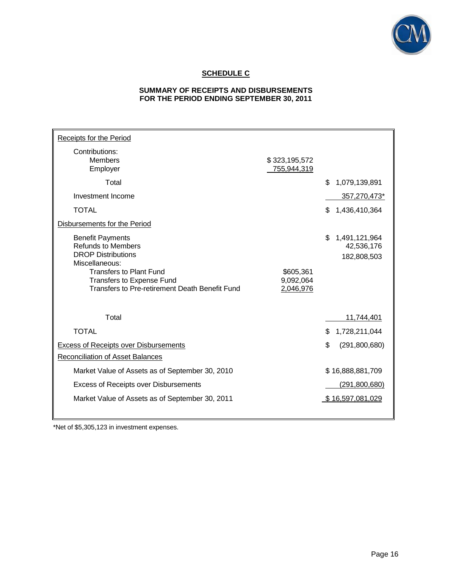

## **SCHEDULE C**

### **SUMMARY OF RECEIPTS AND DISBURSEMENTS FOR THE PERIOD ENDING SEPTEMBER 30, 2011**

| Receipts for the Period                                                                             |                              |                                                  |
|-----------------------------------------------------------------------------------------------------|------------------------------|--------------------------------------------------|
| Contributions:<br><b>Members</b><br>Employer                                                        | \$323,195,572<br>755,944,319 |                                                  |
| Total                                                                                               |                              | \$<br>1,079,139,891                              |
| Investment Income                                                                                   |                              | 357,270,473*                                     |
| <b>TOTAL</b>                                                                                        |                              | \$<br>1,436,410,364                              |
| Disbursements for the Period                                                                        |                              |                                                  |
| <b>Benefit Payments</b><br><b>Refunds to Members</b><br><b>DROP Distributions</b><br>Miscellaneous: |                              | \$<br>1,491,121,964<br>42,536,176<br>182,808,503 |
| <b>Transfers to Plant Fund</b><br>Transfers to Expense Fund                                         | \$605,361<br>9,092,064       |                                                  |
| Transfers to Pre-retirement Death Benefit Fund                                                      | 2,046,976                    |                                                  |
| Total                                                                                               |                              | 11,744,401                                       |
| <b>TOTAL</b>                                                                                        |                              | \$<br>1,728,211,044                              |
| <b>Excess of Receipts over Disbursements</b>                                                        |                              | \$<br>(291, 800, 680)                            |
| <b>Reconciliation of Asset Balances</b>                                                             |                              |                                                  |
| Market Value of Assets as of September 30, 2010                                                     |                              | \$16,888,881,709                                 |
| <b>Excess of Receipts over Disbursements</b>                                                        |                              | <u>(291,800,680)</u>                             |
| Market Value of Assets as of September 30, 2011                                                     |                              | \$16,597,081,029                                 |
|                                                                                                     |                              |                                                  |

\*Net of \$5,305,123 in investment expenses.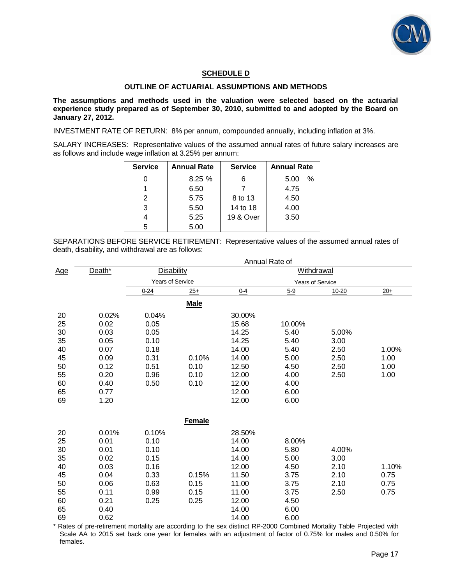

### **SCHEDULE D**

### **OUTLINE OF ACTUARIAL ASSUMPTIONS AND METHODS**

**The assumptions and methods used in the valuation were selected based on the actuarial experience study prepared as of September 30, 2010, submitted to and adopted by the Board on January 27, 2012.** 

INVESTMENT RATE OF RETURN: 8% per annum, compounded annually, including inflation at 3%.

SALARY INCREASES: Representative values of the assumed annual rates of future salary increases are as follows and include wage inflation at 3.25% per annum:

| <b>Service</b> | <b>Annual Rate</b> | <b>Service</b> | <b>Annual Rate</b> |
|----------------|--------------------|----------------|--------------------|
|                | 8.25%              | 6              | $\%$<br>5.00       |
|                | 6.50               |                | 4.75               |
| 2              | 5.75               | 8 to 13        | 4.50               |
| 3              | 5.50               | 14 to 18       | 4.00               |
|                | 5.25               | 19 & Over      | 3.50               |
| 5              | 5.00               |                |                    |

SEPARATIONS BEFORE SERVICE RETIREMENT: Representative values of the assumed annual rates of death, disability, and withdrawal are as follows:

|            |        | Annual Rate of                         |             |         |                         |           |       |  |
|------------|--------|----------------------------------------|-------------|---------|-------------------------|-----------|-------|--|
| <u>Age</u> | Death* | <b>Disability</b><br><b>Withdrawal</b> |             |         |                         |           |       |  |
|            |        | <b>Years of Service</b>                |             |         | <b>Years of Service</b> |           |       |  |
|            |        | $0 - 24$                               | $25+$       | $0 - 4$ | $5 - 9$                 | $10 - 20$ | $20+$ |  |
|            |        |                                        | <b>Male</b> |         |                         |           |       |  |
| 20         | 0.02%  | 0.04%                                  |             | 30.00%  |                         |           |       |  |
| 25         | 0.02   | 0.05                                   |             | 15.68   | 10.00%                  |           |       |  |
| 30         | 0.03   | 0.05                                   |             | 14.25   | 5.40                    | 5.00%     |       |  |
| 35         | 0.05   | 0.10                                   |             | 14.25   | 5.40                    | 3.00      |       |  |
| 40         | 0.07   | 0.18                                   |             | 14.00   | 5.40                    | 2.50      | 1.00% |  |
| 45         | 0.09   | 0.31                                   | 0.10%       | 14.00   | 5.00                    | 2.50      | 1.00  |  |
| 50         | 0.12   | 0.51                                   | 0.10        | 12.50   | 4.50                    | 2.50      | 1.00  |  |
| 55         | 0.20   | 0.96                                   | 0.10        | 12.00   | 4.00                    | 2.50      | 1.00  |  |
| 60         | 0.40   | 0.50                                   | 0.10        | 12.00   | 4.00                    |           |       |  |
| 65         | 0.77   |                                        |             | 12.00   | 6.00                    |           |       |  |
| 69         | 1.20   |                                        |             | 12.00   | 6.00                    |           |       |  |
|            |        |                                        | Female      |         |                         |           |       |  |
| 20         | 0.01%  | 0.10%                                  |             | 28.50%  |                         |           |       |  |
| 25         | 0.01   | 0.10                                   |             | 14.00   | 8.00%                   |           |       |  |
| 30         | 0.01   | 0.10                                   |             | 14.00   | 5.80                    | 4.00%     |       |  |
| 35         | 0.02   | 0.15                                   |             | 14.00   | 5.00                    | 3.00      |       |  |
| 40         | 0.03   | 0.16                                   |             | 12.00   | 4.50                    | 2.10      | 1.10% |  |
| 45         | 0.04   | 0.33                                   | 0.15%       | 11.50   | 3.75                    | 2.10      | 0.75  |  |
| 50         | 0.06   | 0.63                                   | 0.15        | 11.00   | 3.75                    | 2.10      | 0.75  |  |
| 55         | 0.11   | 0.99                                   | 0.15        | 11.00   | 3.75                    | 2.50      | 0.75  |  |
| 60         | 0.21   | 0.25                                   | 0.25        | 12.00   | 4.50                    |           |       |  |
| 65         | 0.40   |                                        |             | 14.00   | 6.00                    |           |       |  |
| 69         | 0.62   |                                        |             | 14.00   | 6.00                    |           |       |  |

\* Rates of pre-retirement mortality are according to the sex distinct RP-2000 Combined Mortality Table Projected with Scale AA to 2015 set back one year for females with an adjustment of factor of 0.75% for males and 0.50% for females.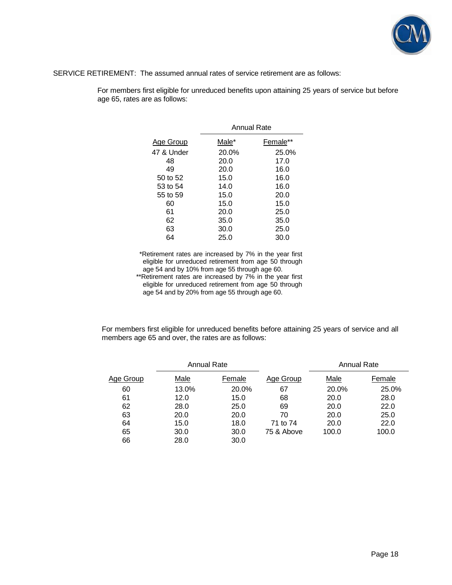

SERVICE RETIREMENT: The assumed annual rates of service retirement are as follows:

For members first eligible for unreduced benefits upon attaining 25 years of service but before age 65, rates are as follows:

|            | Annual Rate |          |  |  |  |
|------------|-------------|----------|--|--|--|
| Age Group  | Male*       | Female** |  |  |  |
| 47 & Under | 20.0%       | 25.0%    |  |  |  |
| 48         | 20.0        | 17.0     |  |  |  |
| 49         | 20.0        | 16.0     |  |  |  |
| 50 to 52   | 15.0        | 16.0     |  |  |  |
| 53 to 54   | 14.0        | 16.0     |  |  |  |
| 55 to 59   | 15.0        | 20.0     |  |  |  |
| 60         | 15.0        | 15.0     |  |  |  |
| 61         | 20.0        | 25.0     |  |  |  |
| 62         | 35.0        | 35.0     |  |  |  |
| 63         | 30.0        | 25.0     |  |  |  |
| 64         | 25.0        | 30.0     |  |  |  |

\*Retirement rates are increased by 7% in the year first eligible for unreduced retirement from age 50 through age 54 and by 10% from age 55 through age 60.

\*\*Retirement rates are increased by 7% in the year first eligible for unreduced retirement from age 50 through age 54 and by 20% from age 55 through age 60.

For members first eligible for unreduced benefits before attaining 25 years of service and all members age 65 and over, the rates are as follows:

|           | Annual Rate |        |            | Annual Rate |        |  |
|-----------|-------------|--------|------------|-------------|--------|--|
| Age Group | Male        | Female | Age Group  | Male        | Female |  |
| 60        | 13.0%       | 20.0%  | 67         | 20.0%       | 25.0%  |  |
| 61        | 12.0        | 15.0   | 68         | 20.0        | 28.0   |  |
| 62        | 28.0        | 25.0   | 69         | 20.0        | 22.0   |  |
| 63        | 20.0        | 20.0   | 70         | 20.0        | 25.0   |  |
| 64        | 15.0        | 18.0   | 71 to 74   | 20.0        | 22.0   |  |
| 65        | 30.0        | 30.0   | 75 & Above | 100.0       | 100.0  |  |
| 66        | 28.0        | 30.0   |            |             |        |  |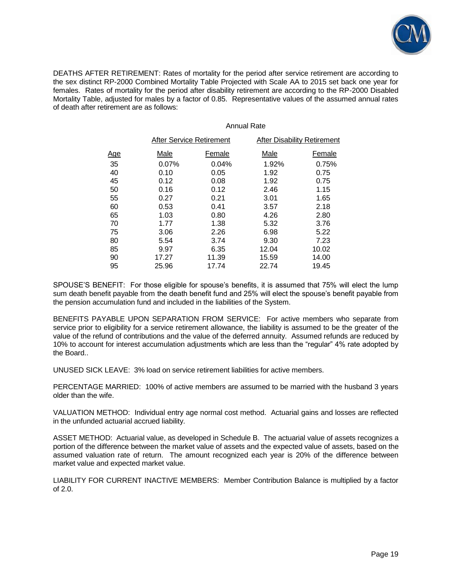

DEATHS AFTER RETIREMENT: Rates of mortality for the period after service retirement are according to the sex distinct RP-2000 Combined Mortality Table Projected with Scale AA to 2015 set back one year for females. Rates of mortality for the period after disability retirement are according to the RP-2000 Disabled Mortality Table, adjusted for males by a factor of 0.85. Representative values of the assumed annual rates of death after retirement are as follows:

### Annual Rate

|            | After Service Retirement |        | After Disability Retirement |        |  |
|------------|--------------------------|--------|-----------------------------|--------|--|
| <u>Age</u> | <u>Male</u>              | Female | <u>Male</u>                 | Female |  |
| 35         | 0.07%                    | 0.04%  | 1.92%                       | 0.75%  |  |
| 40         | 0.10                     | 0.05   | 1.92                        | 0.75   |  |
| 45         | 0.12                     | 0.08   | 1.92                        | 0.75   |  |
| 50         | 0.16                     | 0.12   | 2.46                        | 1.15   |  |
| 55         | 0.27                     | 0.21   | 3.01                        | 1.65   |  |
| 60         | 0.53                     | 0.41   | 3.57                        | 2.18   |  |
| 65         | 1.03                     | 0.80   | 4.26                        | 2.80   |  |
| 70         | 1.77                     | 1.38   | 5.32                        | 3.76   |  |
| 75         | 3.06                     | 2.26   | 6.98                        | 5.22   |  |
| 80         | 5.54                     | 3.74   | 9.30                        | 7.23   |  |
| 85         | 9.97                     | 6.35   | 12.04                       | 10.02  |  |
| 90         | 17.27                    | 11.39  | 15.59                       | 14.00  |  |
| 95         | 25.96                    | 17.74  | 22.74                       | 19.45  |  |

SPOUSE'S BENEFIT: For those eligible for spouse's benefits, it is assumed that 75% will elect the lump sum death benefit payable from the death benefit fund and 25% will elect the spouse's benefit payable from the pension accumulation fund and included in the liabilities of the System.

BENEFITS PAYABLE UPON SEPARATION FROM SERVICE: For active members who separate from service prior to eligibility for a service retirement allowance, the liability is assumed to be the greater of the value of the refund of contributions and the value of the deferred annuity. Assumed refunds are reduced by 10% to account for interest accumulation adjustments which are less than the "regular" 4% rate adopted by the Board..

UNUSED SICK LEAVE: 3% load on service retirement liabilities for active members.

PERCENTAGE MARRIED: 100% of active members are assumed to be married with the husband 3 years older than the wife.

VALUATION METHOD: Individual entry age normal cost method. Actuarial gains and losses are reflected in the unfunded actuarial accrued liability.

ASSET METHOD: Actuarial value, as developed in Schedule B. The actuarial value of assets recognizes a portion of the difference between the market value of assets and the expected value of assets, based on the assumed valuation rate of return. The amount recognized each year is 20% of the difference between market value and expected market value.

LIABILITY FOR CURRENT INACTIVE MEMBERS: Member Contribution Balance is multiplied by a factor of 2.0.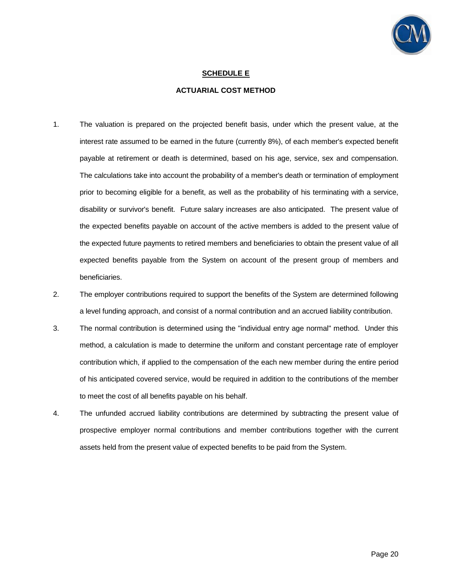

### **SCHEDULE E**

### **ACTUARIAL COST METHOD**

- 1. The valuation is prepared on the projected benefit basis, under which the present value, at the interest rate assumed to be earned in the future (currently 8%), of each member's expected benefit payable at retirement or death is determined, based on his age, service, sex and compensation. The calculations take into account the probability of a member's death or termination of employment prior to becoming eligible for a benefit, as well as the probability of his terminating with a service, disability or survivor's benefit. Future salary increases are also anticipated. The present value of the expected benefits payable on account of the active members is added to the present value of the expected future payments to retired members and beneficiaries to obtain the present value of all expected benefits payable from the System on account of the present group of members and beneficiaries.
- 2. The employer contributions required to support the benefits of the System are determined following a level funding approach, and consist of a normal contribution and an accrued liability contribution.
- 3. The normal contribution is determined using the "individual entry age normal" method. Under this method, a calculation is made to determine the uniform and constant percentage rate of employer contribution which, if applied to the compensation of the each new member during the entire period of his anticipated covered service, would be required in addition to the contributions of the member to meet the cost of all benefits payable on his behalf.
- 4. The unfunded accrued liability contributions are determined by subtracting the present value of prospective employer normal contributions and member contributions together with the current assets held from the present value of expected benefits to be paid from the System.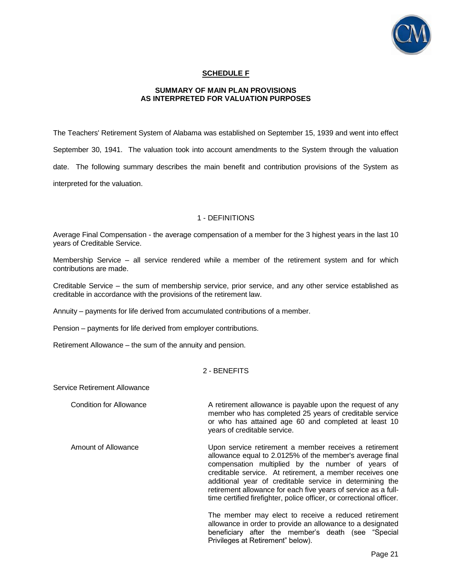

### **SCHEDULE F**

### **SUMMARY OF MAIN PLAN PROVISIONS AS INTERPRETED FOR VALUATION PURPOSES**

The Teachers' Retirement System of Alabama was established on September 15, 1939 and went into effect September 30, 1941. The valuation took into account amendments to the System through the valuation date. The following summary describes the main benefit and contribution provisions of the System as interpreted for the valuation.

### 1 - DEFINITIONS

Average Final Compensation - the average compensation of a member for the 3 highest years in the last 10 years of Creditable Service.

Membership Service – all service rendered while a member of the retirement system and for which contributions are made.

Creditable Service – the sum of membership service, prior service, and any other service established as creditable in accordance with the provisions of the retirement law.

Annuity – payments for life derived from accumulated contributions of a member.

Pension – payments for life derived from employer contributions.

Retirement Allowance – the sum of the annuity and pension.

### 2 - BENEFITS

Service Retirement Allowance

Condition for Allowance **A** retirement allowance is payable upon the request of any member who has completed 25 years of creditable service or who has attained age 60 and completed at least 10 years of creditable service.

 Amount of Allowance Upon service retirement a member receives a retirement allowance equal to 2.0125% of the member's average final compensation multiplied by the number of years of creditable service. At retirement, a member receives one additional year of creditable service in determining the retirement allowance for each five years of service as a fulltime certified firefighter, police officer, or correctional officer.

> The member may elect to receive a reduced retirement allowance in order to provide an allowance to a designated beneficiary after the member's death (see "Special Privileges at Retirement" below).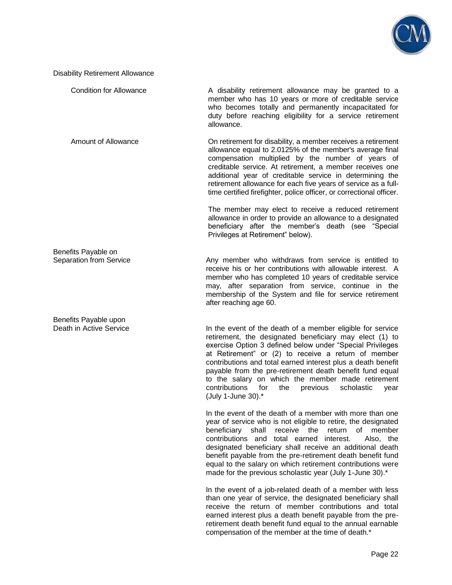

Disability Retirement Allowance

Condition for Allowance **A** disability retirement allowance may be granted to a member who has 10 years or more of creditable service who becomes totally and permanently incapacitated for duty before reaching eligibility for a service retirement allowance.

 Amount of Allowance On retirement for disability, a member receives a retirement allowance equal to 2.0125% of the member's average final compensation multiplied by the number of years of creditable service. At retirement, a member receives one additional year of creditable service in determining the retirement allowance for each five years of service as a fulltime certified firefighter, police officer, or correctional officer.

> The member may elect to receive a reduced retirement allowance in order to provide an allowance to a designated beneficiary after the member's death (see "Special Privileges at Retirement" below).

Separation from Service **Any member who withdraws from service is entitled to** receive his or her contributions with allowable interest. A member who has completed 10 years of creditable service may, after separation from service, continue in the membership of the System and file for service retirement after reaching age 60.

Death in Active Service **In the event of the death of a member eligible for service** retirement, the designated beneficiary may elect (1) to exercise Option 3 defined below under "Special Privileges at Retirement" or (2) to receive a return of member contributions and total earned interest plus a death benefit payable from the pre-retirement death benefit fund equal to the salary on which the member made retirement contributions for the previous scholastic year (July 1-June 30).\*

> In the event of the death of a member with more than one year of service who is not eligible to retire, the designated beneficiary shall receive the return of member contributions and total earned interest. Also, the designated beneficiary shall receive an additional death benefit payable from the pre-retirement death benefit fund equal to the salary on which retirement contributions were made for the previous scholastic year (July 1-June 30).\*

> In the event of a job-related death of a member with less than one year of service, the designated beneficiary shall receive the return of member contributions and total earned interest plus a death benefit payable from the preretirement death benefit fund equal to the annual earnable compensation of the member at the time of death.\*

Benefits Payable on

Benefits Payable upon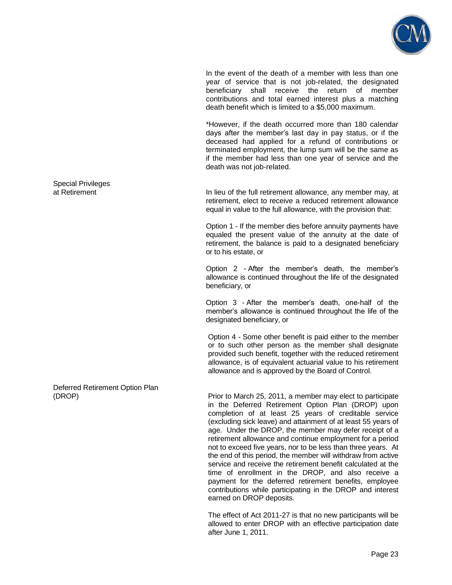

 In the event of the death of a member with less than one year of service that is not job-related, the designated beneficiary shall receive the return of member contributions and total earned interest plus a matching death benefit which is limited to a \$5,000 maximum.

 \*However, if the death occurred more than 180 calendar days after the member's last day in pay status, or if the deceased had applied for a refund of contributions or terminated employment, the lump sum will be the same as if the member had less than one year of service and the death was not job-related.

In lieu of the full retirement allowance, any member may, at retirement, elect to receive a reduced retirement allowance equal in value to the full allowance, with the provision that:

 Option 1 - If the member dies before annuity payments have equaled the present value of the annuity at the date of retirement, the balance is paid to a designated beneficiary or to his estate, or

 Option 2 - After the member's death, the member's allowance is continued throughout the life of the designated beneficiary, or

 Option 3 - After the member's death, one-half of the member's allowance is continued throughout the life of the designated beneficiary, or

 Option 4 - Some other benefit is paid either to the member or to such other person as the member shall designate provided such benefit, together with the reduced retirement allowance, is of equivalent actuarial value to his retirement allowance and is approved by the Board of Control.

(DROP) Prior to March 25, 2011, a member may elect to participate in the Deferred Retirement Option Plan (DROP) upon completion of at least 25 years of creditable service (excluding sick leave) and attainment of at least 55 years of age. Under the DROP, the member may defer receipt of a retirement allowance and continue employment for a period not to exceed five years, nor to be less than three years. At the end of this period, the member will withdraw from active service and receive the retirement benefit calculated at the time of enrollment in the DROP, and also receive a payment for the deferred retirement benefits, employee contributions while participating in the DROP and interest earned on DROP deposits.

> The effect of Act 2011-27 is that no new participants will be allowed to enter DROP with an effective participation date after June 1, 2011.

Special Privileges<br>at Retirement

Deferred Retirement Option Plan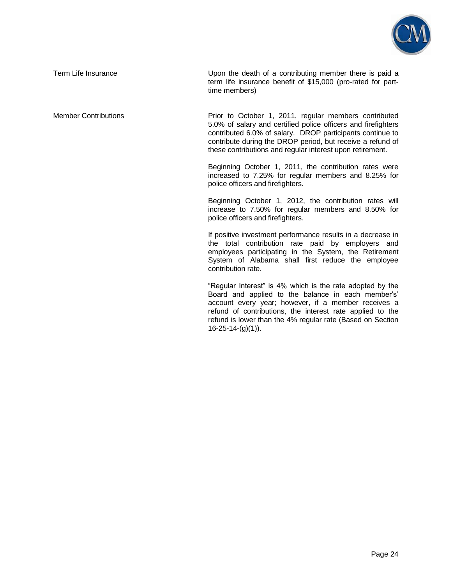

Term Life Insurance Term Life Insurance Upon the death of a contributing member there is paid a term life insurance benefit of \$15,000 (pro-rated for parttime members)

Member Contributions **Prior to October 1, 2011, regular members contributed** 5.0% of salary and certified police officers and firefighters contributed 6.0% of salary. DROP participants continue to contribute during the DROP period, but receive a refund of these contributions and regular interest upon retirement.

> Beginning October 1, 2011, the contribution rates were increased to 7.25% for regular members and 8.25% for police officers and firefighters.

> Beginning October 1, 2012, the contribution rates will increase to 7.50% for regular members and 8.50% for police officers and firefighters.

> If positive investment performance results in a decrease in the total contribution rate paid by employers and employees participating in the System, the Retirement System of Alabama shall first reduce the employee contribution rate.

> "Regular Interest" is 4% which is the rate adopted by the Board and applied to the balance in each member's' account every year; however, if a member receives a refund of contributions, the interest rate applied to the refund is lower than the 4% regular rate (Based on Section 16-25-14-(g)(1)).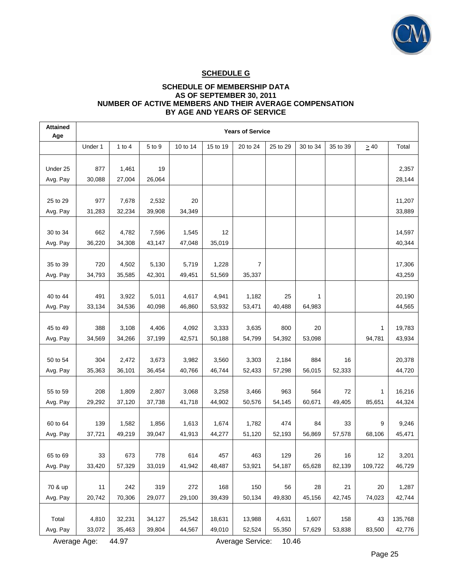

## **SCHEDULE G**

### **SCHEDULE OF MEMBERSHIP DATA AS OF SEPTEMBER 30, 2011 NUMBER OF ACTIVE MEMBERS AND THEIR AVERAGE COMPENSATION BY AGE AND YEARS OF SERVICE**

| <b>Attained</b><br>Age | <b>Years of Service</b> |                  |                  |          |                  |                |                 |                 |               |           |         |
|------------------------|-------------------------|------------------|------------------|----------|------------------|----------------|-----------------|-----------------|---------------|-----------|---------|
|                        | Under 1                 | $1$ to $4$       | 5 to 9           | 10 to 14 | 15 to 19         | 20 to 24       | 25 to 29        | 30 to 34        | 35 to 39      | $\geq 40$ | Total   |
|                        |                         |                  |                  |          |                  |                |                 |                 |               |           |         |
| Under 25               | 877                     | 1,461            | 19               |          |                  |                |                 |                 |               |           | 2,357   |
| Avg. Pay               | 30,088                  | 27,004           | 26,064           |          |                  |                |                 |                 |               |           | 28,144  |
| 25 to 29               | 977                     | 7,678            | 2,532            | 20       |                  |                |                 |                 |               |           | 11,207  |
| Avg. Pay               | 31,283                  | 32,234           | 39,908           | 34,349   |                  |                |                 |                 |               |           | 33,889  |
|                        |                         |                  |                  |          |                  |                |                 |                 |               |           |         |
| 30 to 34               | 662                     | 4,782            | 7,596            | 1,545    | 12               |                |                 |                 |               |           | 14,597  |
| Avg. Pay               | 36,220                  | 34,308           | 43,147           | 47,048   | 35,019           |                |                 |                 |               |           | 40,344  |
|                        |                         |                  |                  |          |                  |                |                 |                 |               |           |         |
| 35 to 39               | 720                     | 4,502            | 5,130            | 5,719    | 1,228            | $\overline{7}$ |                 |                 |               |           | 17,306  |
| Avg. Pay               | 34,793                  | 35,585           | 42,301           | 49,451   | 51,569           | 35,337         |                 |                 |               |           | 43,259  |
|                        |                         |                  |                  |          |                  |                |                 |                 |               |           |         |
| 40 to 44               | 491                     | 3,922            | 5,011            | 4,617    | 4,941            | 1,182          | 25              | 1               |               |           | 20,190  |
| Avg. Pay               | 33,134                  | 34,536           | 40,098           | 46,860   | 53,932           | 53,471         | 40,488          | 64,983          |               |           | 44,565  |
|                        |                         |                  |                  |          |                  |                |                 |                 |               |           |         |
| 45 to 49               | 388                     | 3,108            | 4,406            | 4,092    | 3,333            | 3,635          | 800             | 20              |               | 1         | 19,783  |
| Avg. Pay               | 34,569                  | 34,266           | 37,199           | 42,571   | 50,188           | 54,799         | 54,392          | 53,098          |               | 94,781    | 43,934  |
| 50 to 54               | 304                     | 2,472            | 3,673            | 3,982    | 3,560            | 3,303          | 2,184           | 884             | 16            |           | 20,378  |
| Avg. Pay               | 35,363                  | 36,101           | 36,454           | 40,766   | 46,744           | 52,433         | 57,298          | 56,015          | 52,333        |           | 44,720  |
|                        |                         |                  |                  |          |                  |                |                 |                 |               |           |         |
| 55 to 59               | 208                     | 1,809            | 2,807            | 3,068    | 3,258            | 3,466          | 963             | 564             | 72            | 1         | 16,216  |
| Avg. Pay               | 29,292                  | 37,120           | 37,738           | 41,718   | 44,902           | 50,576         | 54,145          | 60,671          | 49,405        | 85,651    | 44,324  |
|                        |                         |                  |                  |          |                  |                |                 |                 |               |           |         |
| 60 to 64               | 139                     | 1,582            | 1,856            | 1,613    | 1,674            | 1,782          | 474             | 84              | 33            | 9         | 9,246   |
| Avg. Pay               | 37,721                  | 49,219           | 39,047           | 41,913   | 44,277           | 51,120         | 52,193          | 56,869          | 57,578        | 68,106    | 45,471  |
|                        |                         |                  |                  |          |                  |                |                 |                 |               |           |         |
| 65 to 69               | 33                      | 673              | 778              | 614      | 457              | 463            | 129             | 26              | 16            | 12        | 3,201   |
| Avg. Pay               | 33,420                  | 57,329           | 33,019           | 41,942   | 48,487           | 53,921         | 54,187          | 65,628          | 82,139        | 109,722   | 46,729  |
|                        |                         |                  |                  |          |                  |                |                 |                 |               |           |         |
| 70 & up                | 11                      | 242              | 319              | 272      | 168              | 150            | 56              | 28              | 21            | 20        | 1,287   |
| Avg. Pay               | 20,742                  | 70,306           | 29,077           | 29,100   | 39,439           | 50,134         | 49,830          | 45,156          | 42,745        | 74,023    | 42,744  |
| Total                  |                         |                  |                  | 25,542   |                  | 13,988         |                 |                 |               | 43        | 135,768 |
| Avg. Pay               | 4,810<br>33,072         | 32,231<br>35,463 | 34,127<br>39,804 | 44,567   | 18,631<br>49,010 | 52,524         | 4,631<br>55,350 | 1,607<br>57,629 | 158<br>53,838 | 83,500    | 42,776  |
|                        |                         |                  |                  |          |                  |                |                 |                 |               |           |         |

Average Age: 44.97 Average Service: 10.46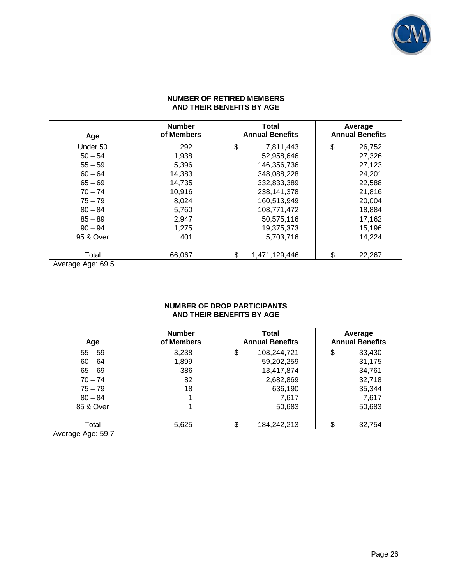

### **NUMBER OF RETIRED MEMBERS AND THEIR BENEFITS BY AGE**

| Age       | <b>Number</b><br>of Members | <b>Total</b><br><b>Annual Benefits</b> | Average<br><b>Annual Benefits</b> |
|-----------|-----------------------------|----------------------------------------|-----------------------------------|
| Under 50  | 292                         | \$<br>7,811,443                        | \$<br>26,752                      |
| $50 - 54$ | 1,938                       | 52,958,646                             | 27,326                            |
| $55 - 59$ | 5,396                       | 146,356,736                            | 27,123                            |
| $60 - 64$ | 14,383                      | 348,088,228                            | 24,201                            |
| $65 - 69$ | 14,735                      | 332,833,389                            | 22,588                            |
| $70 - 74$ | 10,916                      | 238.141.378                            | 21,816                            |
| $75 - 79$ | 8,024                       | 160,513,949                            | 20,004                            |
| $80 - 84$ | 5,760                       | 108,771,472                            | 18,884                            |
| $85 - 89$ | 2,947                       | 50,575,116                             | 17,162                            |
| $90 - 94$ | 1,275                       | 19,375,373                             | 15,196                            |
| 95 & Over | 401                         | 5,703,716                              | 14,224                            |
| Total     | 66,067                      | \$<br>1,471,129,446                    | \$<br>22,267                      |

Average Age: 69.5

### **NUMBER OF DROP PARTICIPANTS AND THEIR BENEFITS BY AGE**

| Age       | <b>Number</b><br>of Members | <b>Total</b><br><b>Annual Benefits</b> | Average<br><b>Annual Benefits</b> |  |  |
|-----------|-----------------------------|----------------------------------------|-----------------------------------|--|--|
| $55 - 59$ | 3,238                       | \$<br>108,244,721                      | \$<br>33,430                      |  |  |
| $60 - 64$ | 1,899                       | 59,202,259                             | 31,175                            |  |  |
| $65 - 69$ | 386                         | 13,417,874                             | 34,761                            |  |  |
| $70 - 74$ | 82                          | 2,682,869                              | 32,718                            |  |  |
| $75 - 79$ | 18                          | 636,190                                | 35,344                            |  |  |
| $80 - 84$ |                             | 7.617                                  | 7,617                             |  |  |
| 85 & Over |                             | 50,683                                 | 50,683                            |  |  |
|           |                             |                                        |                                   |  |  |
| Total     | 5,625                       | 184,242,213                            | \$<br>32,754                      |  |  |

Average Age: 59.7